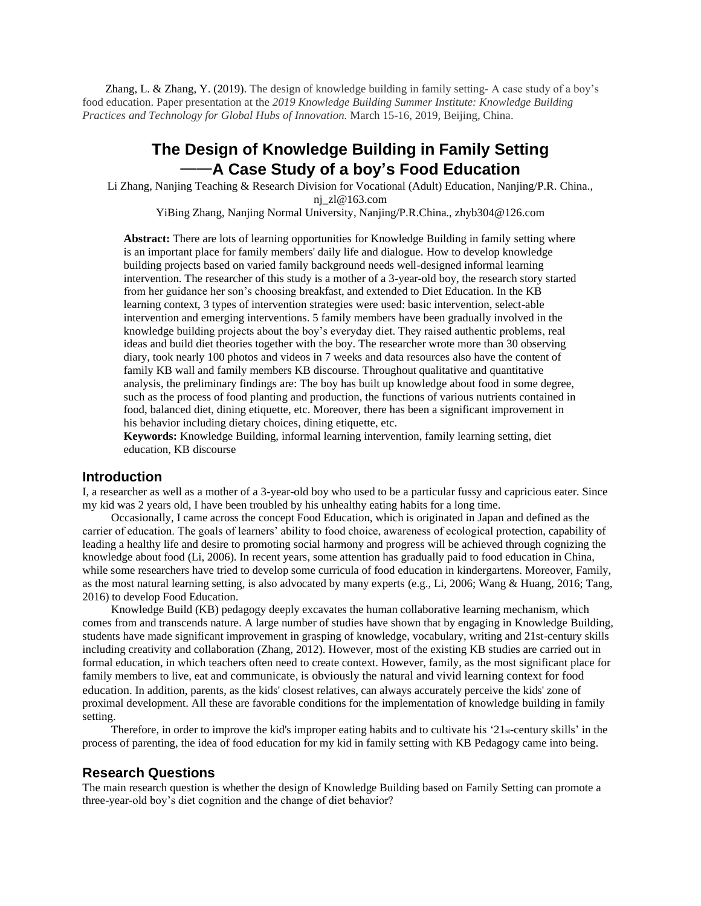Zhang, L. & Zhang, Y. (2019). The design of knowledge building in family setting- A case study of a boy's food education. Paper presentation at the *2019 Knowledge Building Summer Institute: Knowledge Building Practices and Technology for Global Hubs of Innovation.* March 15-16, 2019, Beijing, China.

# **The Design of Knowledge Building in Family Setting** ——**A Case Study of a boy's Food Education**

Li Zhang, Nanjing Teaching & Research Division for Vocational (Adult) Education, Nanjing/P.R. China., nj\_zl@163.com YiBing Zhang, Nanjing Normal University, Nanjing/P.R.China., zhyb304@126.com

**Abstract:** There are lots of learning opportunities for Knowledge Building in family setting where is an important place for family members' daily life and dialogue. How to develop knowledge building projects based on varied family background needs well-designed informal learning intervention. The researcher of this study is a mother of a 3-year-old boy, the research story started from her guidance her son's choosing breakfast, and extended to Diet Education. In the KB learning context, 3 types of intervention strategies were used: basic intervention, select-able intervention and emerging interventions. 5 family members have been gradually involved in the knowledge building projects about the boy's everyday diet. They raised authentic problems, real ideas and build diet theories together with the boy. The researcher wrote more than 30 observing diary, took nearly 100 photos and videos in 7 weeks and data resources also have the content of family KB wall and family members KB discourse. Throughout qualitative and quantitative analysis, the preliminary findings are: The boy has built up knowledge about food in some degree, such as the process of food planting and production, the functions of various nutrients contained in food, balanced diet, dining etiquette, etc. Moreover, there has been a significant improvement in his behavior including dietary choices, dining etiquette, etc.

**Keywords:** Knowledge Building, informal learning intervention, family learning setting, diet education, KB discourse

#### **Introduction**

I, a researcher as well as a mother of a 3-year-old boy who used to be a particular fussy and capricious eater. Since my kid was 2 years old, I have been troubled by his unhealthy eating habits for a long time.

Occasionally, I came across the concept Food Education, which is originated in Japan and defined as the carrier of education. The goals of learners' ability to food choice, awareness of ecological protection, capability of leading a healthy life and desire to promoting social harmony and progress will be achieved through cognizing the knowledge about food (Li, 2006). In recent years, some attention has gradually paid to food education in China, while some researchers have tried to develop some curricula of food education in kindergartens. Moreover, Family, as the most natural learning setting, is also advocated by many experts (e.g., Li, 2006; Wang & Huang, 2016; Tang, 2016) to develop Food Education.

Knowledge Build (KB) pedagogy deeply excavates the human collaborative learning mechanism, which comes from and transcends nature. A large number of studies have shown that by engaging in Knowledge Building, students have made significant improvement in grasping of knowledge, vocabulary, writing and 21st-century skills including creativity and collaboration (Zhang, 2012). However, most of the existing KB studies are carried out in formal education, in which teachers often need to create context. However, family, as the most significant place for family members to live, eat and communicate, is obviously the natural and vivid learning context for food education. In addition, parents, as the kids' closest relatives, can always accurately perceive the kids' zone of proximal development. All these are favorable conditions for the implementation of knowledge building in family setting.

Therefore, in order to improve the kid's improper eating habits and to cultivate his '21st-century skills' in the process of parenting, the idea of food education for my kid in family setting with KB Pedagogy came into being.

### **Research Questions**

The main research question is whether the design of Knowledge Building based on Family Setting can promote a three-year-old boy's diet cognition and the change of diet behavior?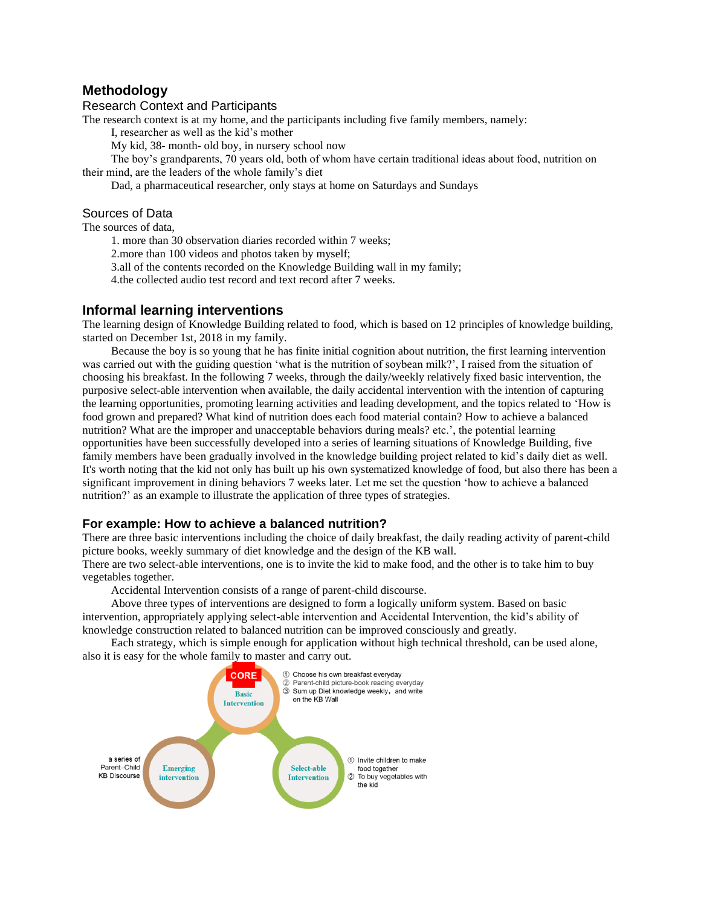# **Methodology**

### Research Context and Participants

The research context is at my home, and the participants including five family members, namely:

I, researcher as well as the kid's mother

My kid, 38- month- old boy, in nursery school now

The boy's grandparents, 70 years old, both of whom have certain traditional ideas about food, nutrition on their mind, are the leaders of the whole family's diet

Dad, a pharmaceutical researcher, only stays at home on Saturdays and Sundays

### Sources of Data

The sources of data,

1. more than 30 observation diaries recorded within 7 weeks;

2.more than 100 videos and photos taken by myself;

3.all of the contents recorded on the Knowledge Building wall in my family;

4.the collected audio test record and text record after 7 weeks.

## **Informal learning interventions**

The learning design of Knowledge Building related to food, which is based on 12 principles of knowledge building, started on December 1st, 2018 in my family.

Because the boy is so young that he has finite initial cognition about nutrition, the first learning intervention was carried out with the guiding question 'what is the nutrition of soybean milk?', I raised from the situation of choosing his breakfast. In the following 7 weeks, through the daily/weekly relatively fixed basic intervention, the purposive select-able intervention when available, the daily accidental intervention with the intention of capturing the learning opportunities, promoting learning activities and leading development, and the topics related to 'How is food grown and prepared? What kind of nutrition does each food material contain? How to achieve a balanced nutrition? What are the improper and unacceptable behaviors during meals? etc.', the potential learning opportunities have been successfully developed into a series of learning situations of Knowledge Building, five family members have been gradually involved in the knowledge building project related to kid's daily diet as well. It's worth noting that the kid not only has built up his own systematized knowledge of food, but also there has been a significant improvement in dining behaviors 7 weeks later. Let me set the question 'how to achieve a balanced nutrition?' as an example to illustrate the application of three types of strategies.

## **For example: How to achieve a balanced nutrition?**

There are three basic interventions including the choice of daily breakfast, the daily reading activity of parent-child picture books, weekly summary of diet knowledge and the design of the KB wall.

There are two select-able interventions, one is to invite the kid to make food, and the other is to take him to buy vegetables together.

Accidental Intervention consists of a range of parent-child discourse.

Above three types of interventions are designed to form a logically uniform system. Based on basic intervention, appropriately applying select-able intervention and Accidental Intervention, the kid's ability of knowledge construction related to balanced nutrition can be improved consciously and greatly.

Each strategy, which is simple enough for application without high technical threshold, can be used alone, also it is easy for the whole family to master and carry out.

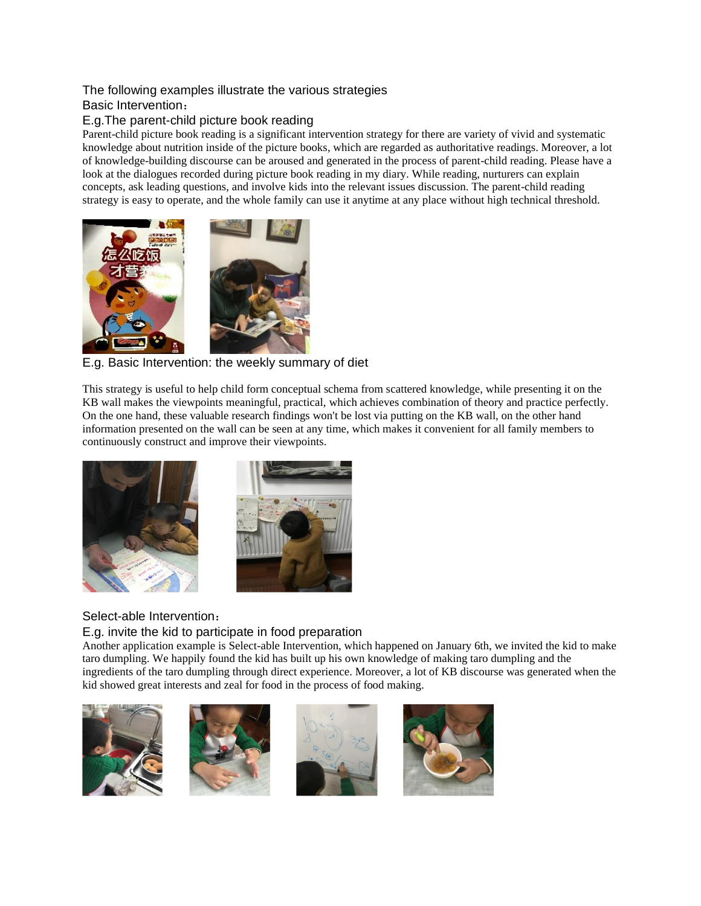# The following examples illustrate the various strategies

# Basic Intervention:

# E.g.The parent-child picture book reading

Parent-child picture book reading is a significant intervention strategy for there are variety of vivid and systematic knowledge about nutrition inside of the picture books, which are regarded as authoritative readings. Moreover, a lot of knowledge-building discourse can be aroused and generated in the process of parent-child reading. Please have a look at the dialogues recorded during picture book reading in my diary. While reading, nurturers can explain concepts, ask leading questions, and involve kids into the relevant issues discussion. The parent-child reading strategy is easy to operate, and the whole family can use it anytime at any place without high technical threshold.



# E.g. Basic Intervention: the weekly summary of diet

This strategy is useful to help child form conceptual schema from scattered knowledge, while presenting it on the KB wall makes the viewpoints meaningful, practical, which achieves combination of theory and practice perfectly. On the one hand, these valuable research findings won't be lost via putting on the KB wall, on the other hand information presented on the wall can be seen at any time, which makes it convenient for all family members to continuously construct and improve their viewpoints.



# Select-able Intervention:

E.g. invite the kid to participate in food preparation

Another application example is Select-able Intervention, which happened on January 6th, we invited the kid to make taro dumpling. We happily found the kid has built up his own knowledge of making taro dumpling and the ingredients of the taro dumpling through direct experience. Moreover, a lot of KB discourse was generated when the kid showed great interests and zeal for food in the process of food making.







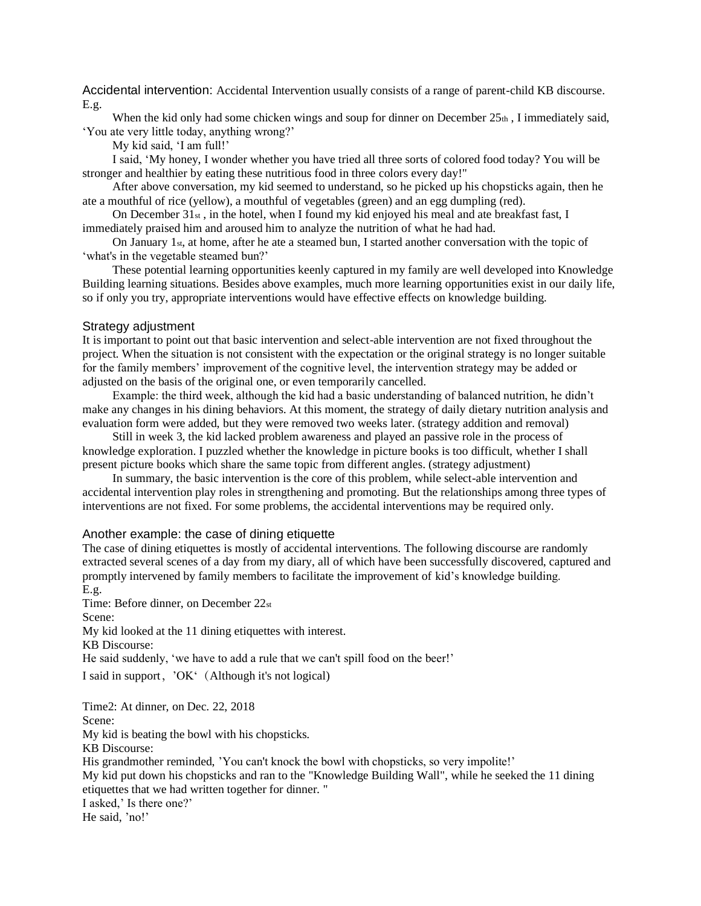Accidental intervention: Accidental Intervention usually consists of a range of parent-child KB discourse. E.g.

When the kid only had some chicken wings and soup for dinner on December  $25<sub>th</sub>$ , I immediately said, 'You ate very little today, anything wrong?'

My kid said, 'I am full!'

I said, 'My honey, I wonder whether you have tried all three sorts of colored food today? You will be stronger and healthier by eating these nutritious food in three colors every day!"

After above conversation, my kid seemed to understand, so he picked up his chopsticks again, then he ate a mouthful of rice (yellow), a mouthful of vegetables (green) and an egg dumpling (red).

On December  $31_{st}$ , in the hotel, when I found my kid enjoyed his meal and ate breakfast fast, I immediately praised him and aroused him to analyze the nutrition of what he had had.

On January 1st, at home, after he ate a steamed bun, I started another conversation with the topic of 'what's in the vegetable steamed bun?'

These potential learning opportunities keenly captured in my family are well developed into Knowledge Building learning situations. Besides above examples, much more learning opportunities exist in our daily life, so if only you try, appropriate interventions would have effective effects on knowledge building.

#### Strategy adjustment

It is important to point out that basic intervention and select-able intervention are not fixed throughout the project. When the situation is not consistent with the expectation or the original strategy is no longer suitable for the family members' improvement of the cognitive level, the intervention strategy may be added or adjusted on the basis of the original one, or even temporarily cancelled.

Example: the third week, although the kid had a basic understanding of balanced nutrition, he didn't make any changes in his dining behaviors. At this moment, the strategy of daily dietary nutrition analysis and evaluation form were added, but they were removed two weeks later. (strategy addition and removal)

Still in week 3, the kid lacked problem awareness and played an passive role in the process of knowledge exploration. I puzzled whether the knowledge in picture books is too difficult, whether I shall present picture books which share the same topic from different angles. (strategy adjustment)

In summary, the basic intervention is the core of this problem, while select-able intervention and accidental intervention play roles in strengthening and promoting. But the relationships among three types of interventions are not fixed. For some problems, the accidental interventions may be required only.

### Another example: the case of dining etiquette

The case of dining etiquettes is mostly of accidental interventions. The following discourse are randomly extracted several scenes of a day from my diary, all of which have been successfully discovered, captured and promptly intervened by family members to facilitate the improvement of kid's knowledge building. E.g.

Time: Before dinner, on December 22st

Scene:

My kid looked at the 11 dining etiquettes with interest.

KB Discourse:

He said suddenly, 'we have to add a rule that we can't spill food on the beer!'

I said in support, 'OK' (Although it's not logical)

Time2: At dinner, on Dec. 22, 2018 Scene: My kid is beating the bowl with his chopsticks. KB Discourse: His grandmother reminded, 'You can't knock the bowl with chopsticks, so very impolite!' My kid put down his chopsticks and ran to the "Knowledge Building Wall", while he seeked the 11 dining etiquettes that we had written together for dinner. " I asked,' Is there one?' He said, 'no!'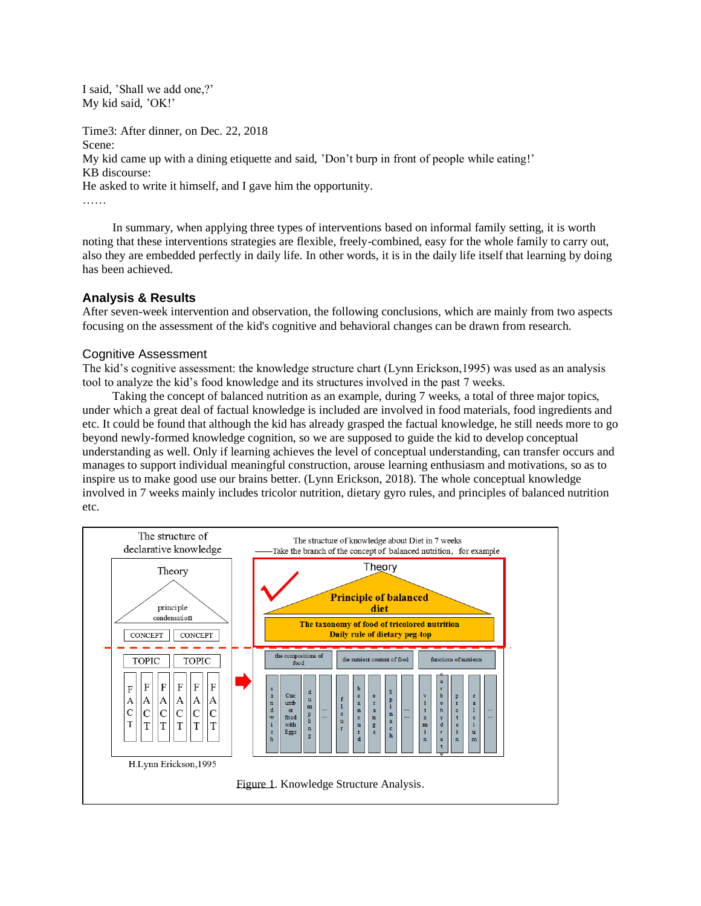I said, 'Shall we add one,?' My kid said, 'OK!'

Time3: After dinner, on Dec. 22, 2018

Scene:

My kid came up with a dining etiquette and said, 'Don't burp in front of people while eating!'

KB discourse:

He asked to write it himself, and I gave him the opportunity.

……

In summary, when applying three types of interventions based on informal family setting, it is worth noting that these interventions strategies are flexible, freely-combined, easy for the whole family to carry out, also they are embedded perfectly in daily life. In other words, it is in the daily life itself that learning by doing has been achieved.

# **Analysis & Results**

After seven-week intervention and observation, the following conclusions, which are mainly from two aspects focusing on the assessment of the kid's cognitive and behavioral changes can be drawn from research.

# Cognitive Assessment

The kid's cognitive assessment: the knowledge structure chart (Lynn Erickson,1995) was used as an analysis tool to analyze the kid's food knowledge and its structures involved in the past 7 weeks.

Taking the concept of balanced nutrition as an example, during 7 weeks, a total of three major topics, under which a great deal of factual knowledge is included are involved in food materials, food ingredients and etc. It could be found that although the kid has already grasped the factual knowledge, he still needs more to go beyond newly-formed knowledge cognition, so we are supposed to guide the kid to develop conceptual understanding as well. Only if learning achieves the level of conceptual understanding, can transfer occurs and manages to support individual meaningful construction, arouse learning enthusiasm and motivations, so as to inspire us to make good use our brains better. (Lynn Erickson, 2018). The whole conceptual knowledge involved in 7 weeks mainly includes tricolor nutrition, dietary gyro rules, and principles of balanced nutrition etc.

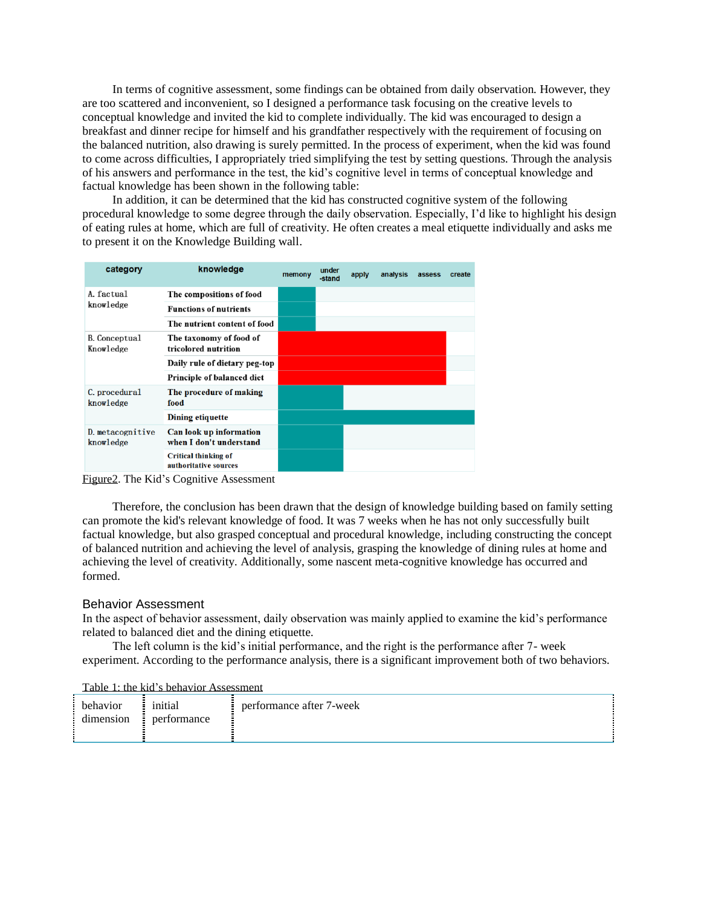In terms of cognitive assessment, some findings can be obtained from daily observation. However, they are too scattered and inconvenient, so I designed a performance task focusing on the creative levels to conceptual knowledge and invited the kid to complete individually. The kid was encouraged to design a breakfast and dinner recipe for himself and his grandfather respectively with the requirement of focusing on the balanced nutrition, also drawing is surely permitted. In the process of experiment, when the kid was found to come across difficulties, I appropriately tried simplifying the test by setting questions. Through the analysis of his answers and performance in the test, the kid's cognitive level in terms of conceptual knowledge and factual knowledge has been shown in the following table:

In addition, it can be determined that the kid has constructed cognitive system of the following procedural knowledge to some degree through the daily observation. Especially, I'd like to highlight his design of eating rules at home, which are full of creativity. He often creates a meal etiquette individually and asks me to present it on the Knowledge Building wall.

| category                          | knowledge                                            | memony | under<br>-stand | apply | analysis | assess | create |
|-----------------------------------|------------------------------------------------------|--------|-----------------|-------|----------|--------|--------|
| A. factual<br>knowledge           | The compositions of food                             |        |                 |       |          |        |        |
|                                   | <b>Functions of nutrients</b>                        |        |                 |       |          |        |        |
|                                   | The nutrient content of food                         |        |                 |       |          |        |        |
| <b>B.</b> Conceptual<br>Knowledge | The taxonomy of food of<br>tricolored nutrition      |        |                 |       |          |        |        |
|                                   | Daily rule of dietary peg-top                        |        |                 |       |          |        |        |
|                                   | Principle of balanced diet                           |        |                 |       |          |        |        |
| C. procedural<br>knowledge        | The procedure of making<br>food                      |        |                 |       |          |        |        |
|                                   | Dining etiquette                                     |        |                 |       |          |        |        |
| D. metacognitive<br>knowledge     | Can look up information<br>when I don't understand   |        |                 |       |          |        |        |
|                                   | <b>Critical thinking of</b><br>authoritative sources |        |                 |       |          |        |        |

Figure2. The Kid's Cognitive Assessment

Therefore, the conclusion has been drawn that the design of knowledge building based on family setting can promote the kid's relevant knowledge of food. It was 7 weeks when he has not only successfully built factual knowledge, but also grasped conceptual and procedural knowledge, including constructing the concept of balanced nutrition and achieving the level of analysis, grasping the knowledge of dining rules at home and achieving the level of creativity. Additionally, some nascent meta-cognitive knowledge has occurred and formed.

### Behavior Assessment

In the aspect of behavior assessment, daily observation was mainly applied to examine the kid's performance related to balanced diet and the dining etiquette.

The left column is the kid's initial performance, and the right is the performance after 7- week experiment. According to the performance analysis, there is a significant improvement both of two behaviors.

#### Table 1: the kid's behavior Assessment

| behavior  | initial          | performance after 7-week |
|-----------|------------------|--------------------------|
| dimension | performance<br>н |                          |
|           |                  |                          |